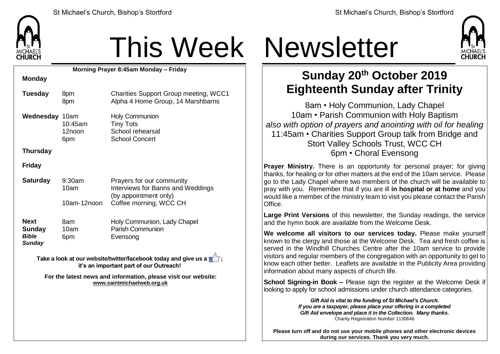

## This Week Newsletter

**Morning Prayer 8:45am Monday – Friday Monday Tuesday** 8pm 8pm Charities Support Group meeting, WCC1 Alpha 4 Home Group, 14 Marshbarns **Wednesday** 10am 10:45am 12noon 6pm Holy Communion Tiny Tots School rehearsal School Concert **Thursday Friday Saturday** 9:30am 10am 10am-12noon Prayers for our community Interviews for Banns and Weddings (by appointment only) Coffee morning, WCC CH **Next Sunday** *Bible Sunday* 8am 10am 6pm Holy Communion, Lady Chapel Parish Communion Evensong **Take a look at our website/twitter/facebook today and give us a**  $\mathbb{Z}$ **: it's an important part of our Outreach!**

> **For the latest news and information, please visit our website: [www.saintmichaelweb.org.uk](http://www.saintmichaelweb.org.uk/)**



## **Sunday 20th October 2019 Eighteenth Sunday after Trinity**

8am • Holy Communion, Lady Chapel 10am • Parish Communion with Holy Baptism *also with option of prayers and anointing with oil for healing* 11:45am • Charities Support Group talk from Bridge and Stort Valley Schools Trust, WCC CH 6pm • Choral Evensong

**Prayer Ministry.** There is an opportunity for personal prayer; for giving thanks, for healing or for other matters at the end of the 10am service. Please go to the Lady Chapel where two members of the church will be available to pray with you. Remember that if you are ill **in hospital or at home** and you would like a member of the ministry team to visit you please contact the Parish **Office** 

**Large Print Versions** of this newsletter, the Sunday readings, the service and the hymn book are available from the Welcome Desk.

**We welcome all visitors to our services today.** Please make yourself known to the clergy and those at the Welcome Desk. Tea and fresh coffee is served in the Windhill Churches Centre after the 10am service to provide visitors and regular members of the congregation with an opportunity to get to know each other better. Leaflets are available in the Publicity Area providing information about many aspects of church life.

**School Signing-in Book –** Please sign the register at the Welcome Desk if looking to apply for school admissions under church attendance categories.

> *Gift Aid is vital to the funding of St Michael's Church. If you are a taxpayer, please place your offering in a completed Gift Aid envelope and place it in the Collection. Many thanks.* Charity Registration Number 1130646

**Please turn off and do not use your mobile phones and other electronic devices during our services. Thank you very much.**